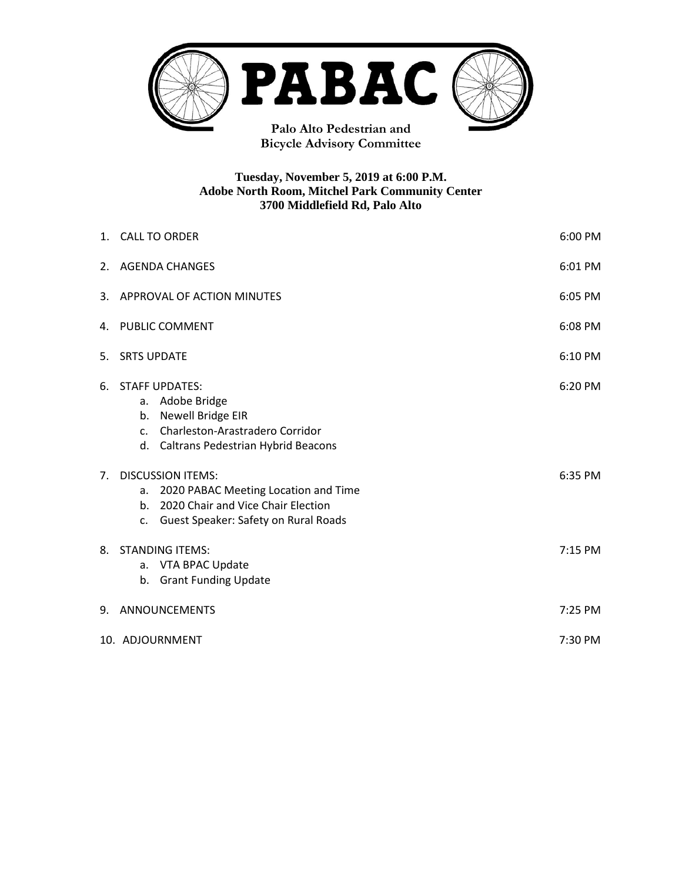

**Bicycle Advisory Committee**

### **Tuesday, November 5, 2019 at 6:00 P.M. Adobe North Room, Mitchel Park Community Center 3700 Middlefield Rd, Palo Alto**

|    | 6:00 PM<br>1. CALL TO ORDER                                                                                                                                               |         |  |
|----|---------------------------------------------------------------------------------------------------------------------------------------------------------------------------|---------|--|
|    | 6:01 PM<br>2. AGENDA CHANGES                                                                                                                                              |         |  |
| 3. | APPROVAL OF ACTION MINUTES<br>6:05 PM                                                                                                                                     |         |  |
| 4. | 6:08 PM<br><b>PUBLIC COMMENT</b>                                                                                                                                          |         |  |
| 5. | <b>SRTS UPDATE</b><br>6:10 PM                                                                                                                                             |         |  |
| 6. | <b>STAFF UPDATES:</b><br>Adobe Bridge<br>а.<br><b>Newell Bridge EIR</b><br>b.<br>c. Charleston-Arastradero Corridor<br>d. Caltrans Pedestrian Hybrid Beacons              | 6:20 PM |  |
| 7. | <b>DISCUSSION ITEMS:</b><br>2020 PABAC Meeting Location and Time<br>а.<br>2020 Chair and Vice Chair Election<br>$h_{\cdot}$<br>Guest Speaker: Safety on Rural Roads<br>c. | 6:35 PM |  |
| 8. | <b>STANDING ITEMS:</b><br>a. VTA BPAC Update<br>b. Grant Funding Update                                                                                                   | 7:15 PM |  |
| 9. | ANNOUNCEMENTS<br>7:25 PM                                                                                                                                                  |         |  |
|    | 7:30 PM<br>10. ADJOURNMENT                                                                                                                                                |         |  |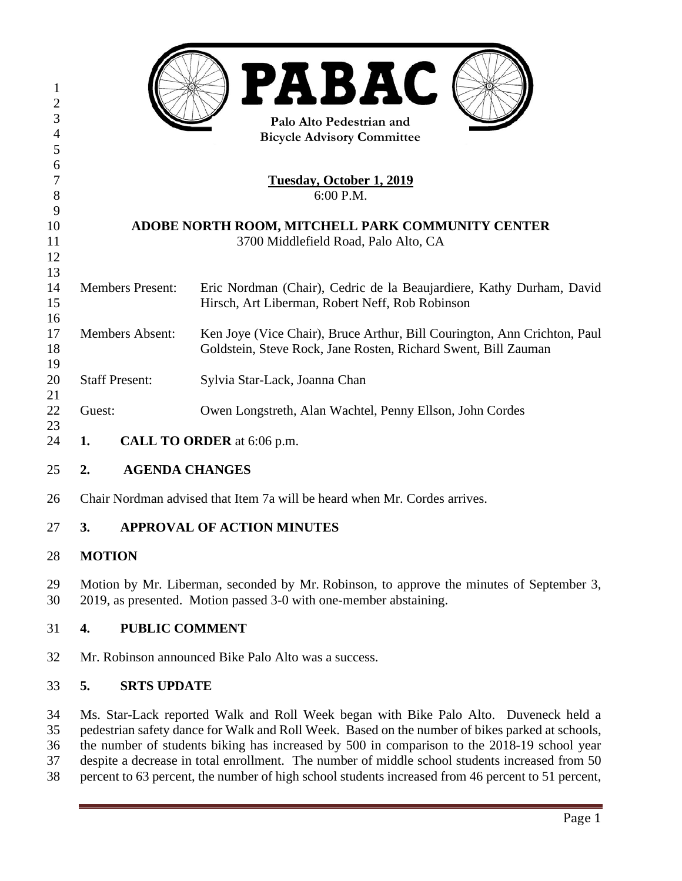| 1<br>$\overline{2}$<br>3<br>4<br>5 |                                                                                                                                                                                                                                                                                                                                                                                                                                                                                                | <b>PABAC</b><br>Palo Alto Pedestrian and<br><b>Bicycle Advisory Committee</b>                                                              |  |
|------------------------------------|------------------------------------------------------------------------------------------------------------------------------------------------------------------------------------------------------------------------------------------------------------------------------------------------------------------------------------------------------------------------------------------------------------------------------------------------------------------------------------------------|--------------------------------------------------------------------------------------------------------------------------------------------|--|
| 6<br>7<br>8                        | <u>Tuesday, October 1, 2019</u><br>6:00 P.M.                                                                                                                                                                                                                                                                                                                                                                                                                                                   |                                                                                                                                            |  |
| 9<br>10<br>11<br>12<br>13          | ADOBE NORTH ROOM, MITCHELL PARK COMMUNITY CENTER<br>3700 Middlefield Road, Palo Alto, CA                                                                                                                                                                                                                                                                                                                                                                                                       |                                                                                                                                            |  |
| 14<br>15                           | <b>Members Present:</b>                                                                                                                                                                                                                                                                                                                                                                                                                                                                        | Eric Nordman (Chair), Cedric de la Beaujardiere, Kathy Durham, David<br>Hirsch, Art Liberman, Robert Neff, Rob Robinson                    |  |
| 16<br>17<br>18                     | <b>Members Absent:</b>                                                                                                                                                                                                                                                                                                                                                                                                                                                                         | Ken Joye (Vice Chair), Bruce Arthur, Bill Courington, Ann Crichton, Paul<br>Goldstein, Steve Rock, Jane Rosten, Richard Swent, Bill Zauman |  |
| 19<br>20                           | <b>Staff Present:</b>                                                                                                                                                                                                                                                                                                                                                                                                                                                                          | Sylvia Star-Lack, Joanna Chan                                                                                                              |  |
| 21<br>22                           | Guest:                                                                                                                                                                                                                                                                                                                                                                                                                                                                                         | Owen Longstreth, Alan Wachtel, Penny Ellson, John Cordes                                                                                   |  |
| 23<br>24                           | <b>CALL TO ORDER</b> at 6:06 p.m.<br>1.                                                                                                                                                                                                                                                                                                                                                                                                                                                        |                                                                                                                                            |  |
| 25                                 | <b>AGENDA CHANGES</b><br>2.                                                                                                                                                                                                                                                                                                                                                                                                                                                                    |                                                                                                                                            |  |
| 26                                 | Chair Nordman advised that Item 7a will be heard when Mr. Cordes arrives.                                                                                                                                                                                                                                                                                                                                                                                                                      |                                                                                                                                            |  |
| 27                                 | 3.                                                                                                                                                                                                                                                                                                                                                                                                                                                                                             | <b>APPROVAL OF ACTION MINUTES</b>                                                                                                          |  |
| 28                                 | <b>MOTION</b>                                                                                                                                                                                                                                                                                                                                                                                                                                                                                  |                                                                                                                                            |  |
| 29<br>30                           | Motion by Mr. Liberman, seconded by Mr. Robinson, to approve the minutes of September 3,<br>2019, as presented. Motion passed 3-0 with one-member abstaining.                                                                                                                                                                                                                                                                                                                                  |                                                                                                                                            |  |
| 31                                 | <b>PUBLIC COMMENT</b><br>4.                                                                                                                                                                                                                                                                                                                                                                                                                                                                    |                                                                                                                                            |  |
| 32                                 |                                                                                                                                                                                                                                                                                                                                                                                                                                                                                                | Mr. Robinson announced Bike Palo Alto was a success.                                                                                       |  |
| 33                                 | 5.<br><b>SRTS UPDATE</b>                                                                                                                                                                                                                                                                                                                                                                                                                                                                       |                                                                                                                                            |  |
| 34<br>35<br>36<br>37<br>38         | Ms. Star-Lack reported Walk and Roll Week began with Bike Palo Alto. Duveneck held a<br>pedestrian safety dance for Walk and Roll Week. Based on the number of bikes parked at schools,<br>the number of students biking has increased by 500 in comparison to the 2018-19 school year<br>despite a decrease in total enrollment. The number of middle school students increased from 50<br>percent to 63 percent, the number of high school students increased from 46 percent to 51 percent, |                                                                                                                                            |  |
|                                    |                                                                                                                                                                                                                                                                                                                                                                                                                                                                                                | Page 1                                                                                                                                     |  |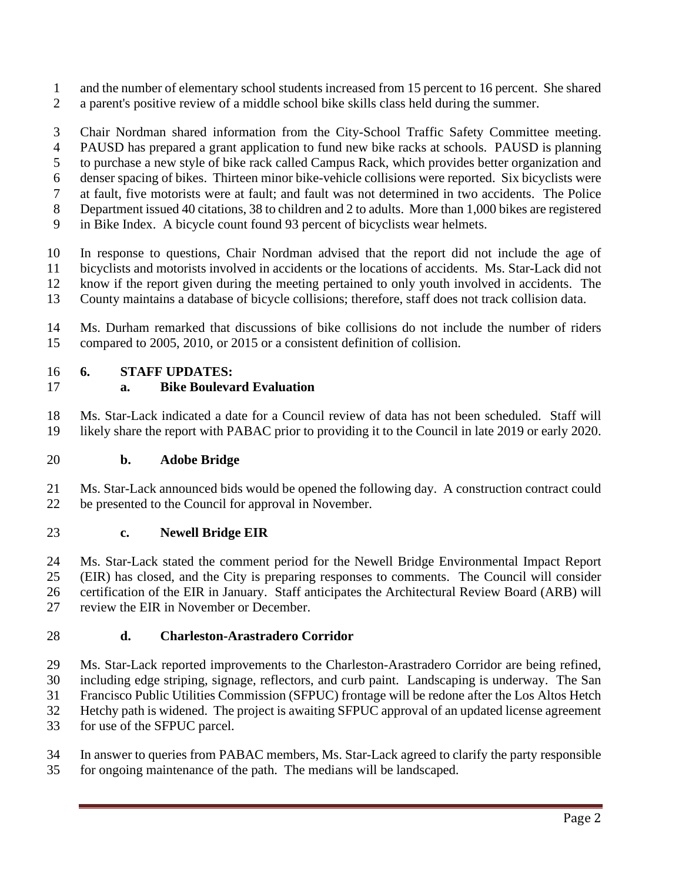- and the number of elementary school students increased from 15 percent to 16 percent. She shared a parent's positive review of a middle school bike skills class held during the summer.
- Chair Nordman shared information from the City-School Traffic Safety Committee meeting. PAUSD has prepared a grant application to fund new bike racks at schools. PAUSD is planning to purchase a new style of bike rack called Campus Rack, which provides better organization and
- denser spacing of bikes. Thirteen minor bike-vehicle collisions were reported. Six bicyclists were
- at fault, five motorists were at fault; and fault was not determined in two accidents. The Police
- Department issued 40 citations, 38 to children and 2 to adults. More than 1,000 bikes are registered
- in Bike Index. A bicycle count found 93 percent of bicyclists wear helmets.
- In response to questions, Chair Nordman advised that the report did not include the age of bicyclists and motorists involved in accidents or the locations of accidents. Ms. Star-Lack did not know if the report given during the meeting pertained to only youth involved in accidents. The
- County maintains a database of bicycle collisions; therefore, staff does not track collision data.
- Ms. Durham remarked that discussions of bike collisions do not include the number of riders compared to 2005, 2010, or 2015 or a consistent definition of collision.

### **6. STAFF UPDATES:**

## **a. Bike Boulevard Evaluation**

 Ms. Star-Lack indicated a date for a Council review of data has not been scheduled. Staff will likely share the report with PABAC prior to providing it to the Council in late 2019 or early 2020.

# **b. Adobe Bridge**

 Ms. Star-Lack announced bids would be opened the following day. A construction contract could be presented to the Council for approval in November.

### **c. Newell Bridge EIR**

 Ms. Star-Lack stated the comment period for the Newell Bridge Environmental Impact Report (EIR) has closed, and the City is preparing responses to comments. The Council will consider certification of the EIR in January. Staff anticipates the Architectural Review Board (ARB) will review the EIR in November or December.

# **d. Charleston-Arastradero Corridor**

 Ms. Star-Lack reported improvements to the Charleston-Arastradero Corridor are being refined, including edge striping, signage, reflectors, and curb paint. Landscaping is underway. The San Francisco Public Utilities Commission (SFPUC) frontage will be redone after the Los Altos Hetch Hetchy path is widened. The project is awaiting SFPUC approval of an updated license agreement for use of the SFPUC parcel.

 In answer to queries from PABAC members, Ms. Star-Lack agreed to clarify the party responsible for ongoing maintenance of the path. The medians will be landscaped.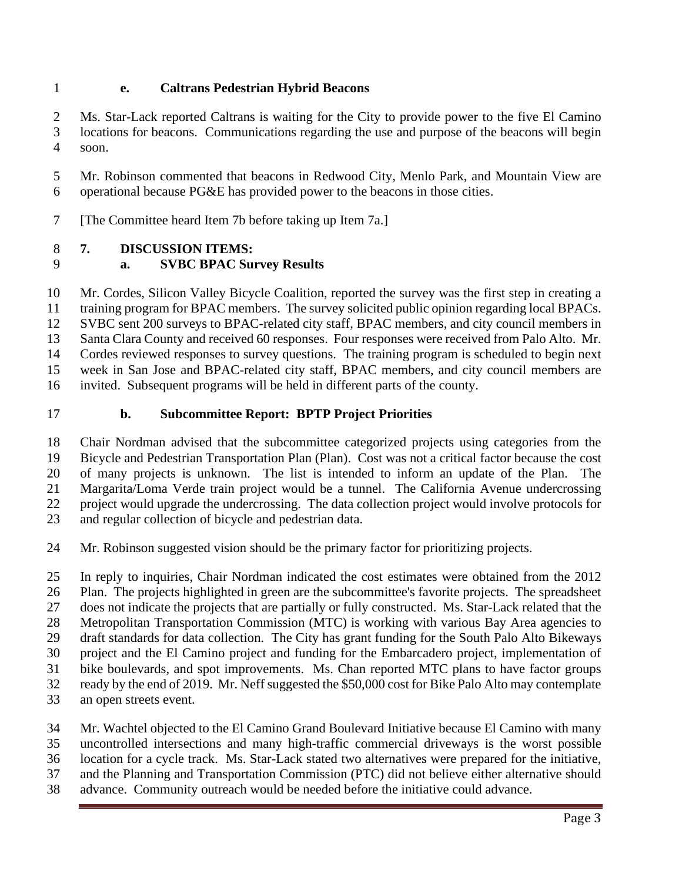**e. Caltrans Pedestrian Hybrid Beacons**

 Ms. Star-Lack reported Caltrans is waiting for the City to provide power to the five El Camino locations for beacons. Communications regarding the use and purpose of the beacons will begin soon.

 Mr. Robinson commented that beacons in Redwood City, Menlo Park, and Mountain View are operational because PG&E has provided power to the beacons in those cities.

[The Committee heard Item 7b before taking up Item 7a.]

# **7. DISCUSSION ITEMS:**

## **a. SVBC BPAC Survey Results**

 Mr. Cordes, Silicon Valley Bicycle Coalition, reported the survey was the first step in creating a training program for BPAC members. The survey solicited public opinion regarding local BPACs. SVBC sent 200 surveys to BPAC-related city staff, BPAC members, and city council members in Santa Clara County and received 60 responses. Four responses were received from Palo Alto. Mr. Cordes reviewed responses to survey questions. The training program is scheduled to begin next week in San Jose and BPAC-related city staff, BPAC members, and city council members are invited. Subsequent programs will be held in different parts of the county.

### **b. Subcommittee Report: BPTP Project Priorities**

 Chair Nordman advised that the subcommittee categorized projects using categories from the Bicycle and Pedestrian Transportation Plan (Plan). Cost was not a critical factor because the cost of many projects is unknown. The list is intended to inform an update of the Plan. The Margarita/Loma Verde train project would be a tunnel. The California Avenue undercrossing project would upgrade the undercrossing. The data collection project would involve protocols for and regular collection of bicycle and pedestrian data.

Mr. Robinson suggested vision should be the primary factor for prioritizing projects.

 In reply to inquiries, Chair Nordman indicated the cost estimates were obtained from the 2012 Plan. The projects highlighted in green are the subcommittee's favorite projects. The spreadsheet does not indicate the projects that are partially or fully constructed. Ms. Star-Lack related that the Metropolitan Transportation Commission (MTC) is working with various Bay Area agencies to draft standards for data collection. The City has grant funding for the South Palo Alto Bikeways project and the El Camino project and funding for the Embarcadero project, implementation of bike boulevards, and spot improvements. Ms. Chan reported MTC plans to have factor groups ready by the end of 2019. Mr. Neff suggested the \$50,000 cost for Bike Palo Alto may contemplate an open streets event.

 Mr. Wachtel objected to the El Camino Grand Boulevard Initiative because El Camino with many uncontrolled intersections and many high-traffic commercial driveways is the worst possible location for a cycle track. Ms. Star-Lack stated two alternatives were prepared for the initiative, and the Planning and Transportation Commission (PTC) did not believe either alternative should advance. Community outreach would be needed before the initiative could advance.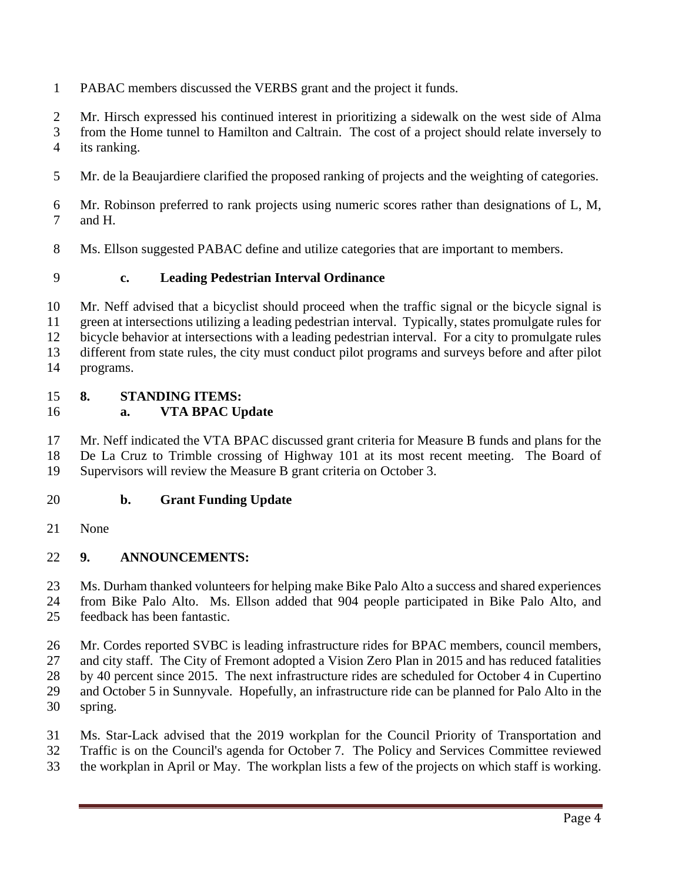- PABAC members discussed the VERBS grant and the project it funds.
- Mr. Hirsch expressed his continued interest in prioritizing a sidewalk on the west side of Alma
- from the Home tunnel to Hamilton and Caltrain. The cost of a project should relate inversely to its ranking.
- Mr. de la Beaujardiere clarified the proposed ranking of projects and the weighting of categories.
- Mr. Robinson preferred to rank projects using numeric scores rather than designations of L, M, and H.
- Ms. Ellson suggested PABAC define and utilize categories that are important to members.
- **c. Leading Pedestrian Interval Ordinance**

 Mr. Neff advised that a bicyclist should proceed when the traffic signal or the bicycle signal is green at intersections utilizing a leading pedestrian interval. Typically, states promulgate rules for bicycle behavior at intersections with a leading pedestrian interval. For a city to promulgate rules different from state rules, the city must conduct pilot programs and surveys before and after pilot programs.

### **8. STANDING ITEMS: a. VTA BPAC Update**

 Mr. Neff indicated the VTA BPAC discussed grant criteria for Measure B funds and plans for the De La Cruz to Trimble crossing of Highway 101 at its most recent meeting. The Board of Supervisors will review the Measure B grant criteria on October 3.

### **b. Grant Funding Update**

None

# **9. ANNOUNCEMENTS:**

 Ms. Durham thanked volunteers for helping make Bike Palo Alto a success and shared experiences from Bike Palo Alto. Ms. Ellson added that 904 people participated in Bike Palo Alto, and

- feedback has been fantastic.
- Mr. Cordes reported SVBC is leading infrastructure rides for BPAC members, council members,
- and city staff. The City of Fremont adopted a Vision Zero Plan in 2015 and has reduced fatalities
- by 40 percent since 2015. The next infrastructure rides are scheduled for October 4 in Cupertino
- and October 5 in Sunnyvale. Hopefully, an infrastructure ride can be planned for Palo Alto in the
- spring.
- Ms. Star-Lack advised that the 2019 workplan for the Council Priority of Transportation and Traffic is on the Council's agenda for October 7. The Policy and Services Committee reviewed
- the workplan in April or May. The workplan lists a few of the projects on which staff is working.